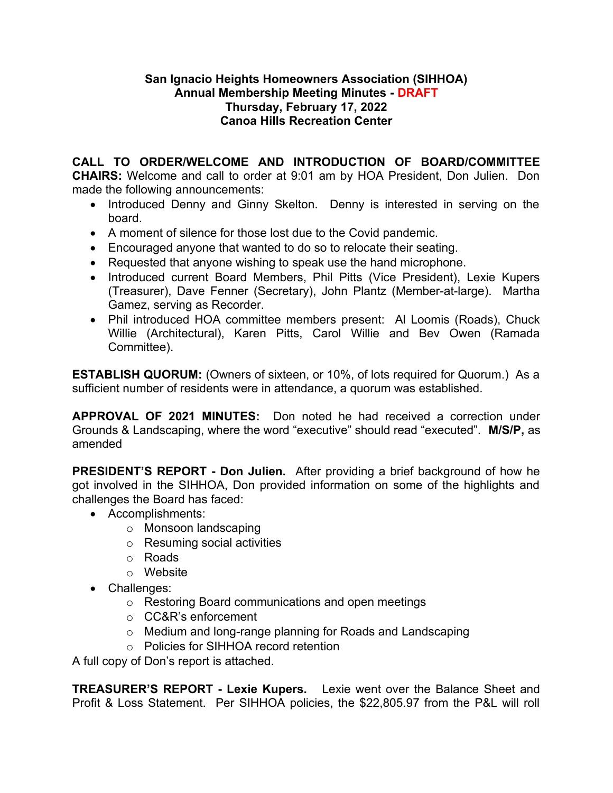#### **San Ignacio Heights Homeowners Association (SIHHOA) Annual Membership Meeting Minutes - DRAFT Thursday, February 17, 2022 Canoa Hills Recreation Center**

**CALL TO ORDER/WELCOME AND INTRODUCTION OF BOARD/COMMITTEE CHAIRS:** Welcome and call to order at 9:01 am by HOA President, Don Julien. Don made the following announcements:

- Introduced Denny and Ginny Skelton. Denny is interested in serving on the board.
- A moment of silence for those lost due to the Covid pandemic.
- Encouraged anyone that wanted to do so to relocate their seating.
- Requested that anyone wishing to speak use the hand microphone.
- Introduced current Board Members, Phil Pitts (Vice President), Lexie Kupers (Treasurer), Dave Fenner (Secretary), John Plantz (Member-at-large). Martha Gamez, serving as Recorder.
- Phil introduced HOA committee members present: Al Loomis (Roads), Chuck Willie (Architectural), Karen Pitts, Carol Willie and Bev Owen (Ramada Committee).

**ESTABLISH QUORUM:** (Owners of sixteen, or 10%, of lots required for Quorum.) As a sufficient number of residents were in attendance, a quorum was established.

**APPROVAL OF 2021 MINUTES:** Don noted he had received a correction under Grounds & Landscaping, where the word "executive" should read "executed". **M/S/P,** as amended

**PRESIDENT'S REPORT - Don Julien.** After providing a brief background of how he got involved in the SIHHOA, Don provided information on some of the highlights and challenges the Board has faced:

- Accomplishments:
	- o Monsoon landscaping
	- o Resuming social activities
	- o Roads
	- o Website
- Challenges:
	- o Restoring Board communications and open meetings
	- o CC&R's enforcement
	- o Medium and long-range planning for Roads and Landscaping
	- o Policies for SIHHOA record retention

A full copy of Don's report is attached.

**TREASURER'S REPORT - Lexie Kupers.** Lexie went over the Balance Sheet and Profit & Loss Statement. Per SIHHOA policies, the \$22,805.97 from the P&L will roll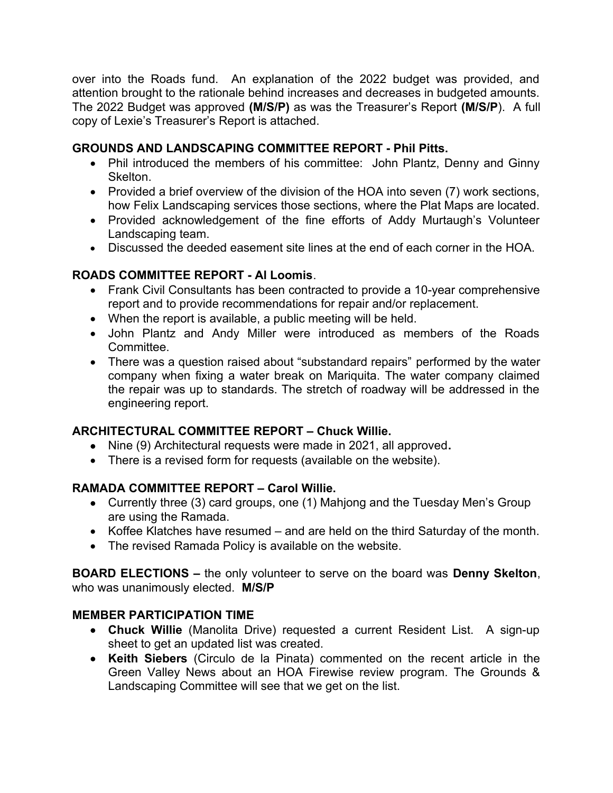over into the Roads fund. An explanation of the 2022 budget was provided, and attention brought to the rationale behind increases and decreases in budgeted amounts. The 2022 Budget was approved **(M/S/P)** as was the Treasurer's Report **(M/S/P**). A full copy of Lexie's Treasurer's Report is attached.

# **GROUNDS AND LANDSCAPING COMMITTEE REPORT - Phil Pitts.**

- Phil introduced the members of his committee: John Plantz, Denny and Ginny Skelton.
- Provided a brief overview of the division of the HOA into seven (7) work sections, how Felix Landscaping services those sections, where the Plat Maps are located.
- Provided acknowledgement of the fine efforts of Addy Murtaugh's Volunteer Landscaping team.
- Discussed the deeded easement site lines at the end of each corner in the HOA.

### **ROADS COMMITTEE REPORT - Al Loomis**.

- Frank Civil Consultants has been contracted to provide a 10-year comprehensive report and to provide recommendations for repair and/or replacement.
- When the report is available, a public meeting will be held.
- John Plantz and Andy Miller were introduced as members of the Roads Committee.
- There was a question raised about "substandard repairs" performed by the water company when fixing a water break on Mariquita. The water company claimed the repair was up to standards. The stretch of roadway will be addressed in the engineering report.

# **ARCHITECTURAL COMMITTEE REPORT – Chuck Willie.**

- Nine (9) Architectural requests were made in 2021, all approved**.**
- There is a revised form for requests (available on the website).

# **RAMADA COMMITTEE REPORT – Carol Willie.**

- Currently three (3) card groups, one (1) Mahjong and the Tuesday Men's Group are using the Ramada.
- Koffee Klatches have resumed and are held on the third Saturday of the month.
- The revised Ramada Policy is available on the website.

**BOARD ELECTIONS –** the only volunteer to serve on the board was **Denny Skelton**, who was unanimously elected. **M/S/P**

#### **MEMBER PARTICIPATION TIME**

- **Chuck Willie** (Manolita Drive) requested a current Resident List. A sign-up sheet to get an updated list was created.
- **Keith Siebers** (Circulo de la Pinata) commented on the recent article in the Green Valley News about an HOA Firewise review program. The Grounds & Landscaping Committee will see that we get on the list.